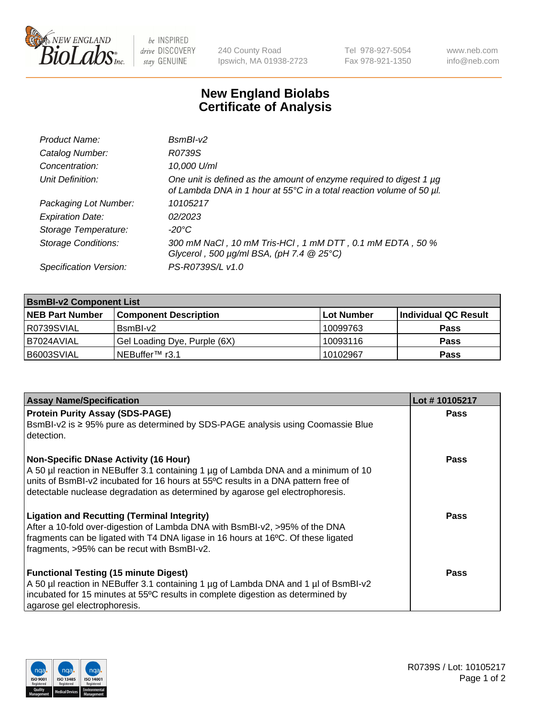

be INSPIRED drive DISCOVERY stay GENUINE

240 County Road Ipswich, MA 01938-2723 Tel 978-927-5054 Fax 978-921-1350 www.neb.com info@neb.com

## **New England Biolabs Certificate of Analysis**

| Product Name:              | $BsmBI-v2$                                                                                                                                  |
|----------------------------|---------------------------------------------------------------------------------------------------------------------------------------------|
| Catalog Number:            | R0739S                                                                                                                                      |
| Concentration:             | 10,000 U/ml                                                                                                                                 |
| Unit Definition:           | One unit is defined as the amount of enzyme required to digest 1 µg<br>of Lambda DNA in 1 hour at 55°C in a total reaction volume of 50 µl. |
| Packaging Lot Number:      | 10105217                                                                                                                                    |
| <b>Expiration Date:</b>    | 02/2023                                                                                                                                     |
| Storage Temperature:       | $-20^{\circ}$ C                                                                                                                             |
| <b>Storage Conditions:</b> | 300 mM NaCl, 10 mM Tris-HCl, 1 mM DTT, 0.1 mM EDTA, 50 %<br>Glycerol, 500 $\mu$ g/ml BSA, (pH 7.4 $@25°C$ )                                 |
| Specification Version:     | PS-R0739S/L v1.0                                                                                                                            |

| <b>BsmBI-v2 Component List</b> |                              |                   |                      |  |  |
|--------------------------------|------------------------------|-------------------|----------------------|--|--|
| <b>NEB Part Number</b>         | <b>Component Description</b> | <b>Lot Number</b> | Individual QC Result |  |  |
| R0739SVIAL                     | BsmBI-v2                     | 10099763          | <b>Pass</b>          |  |  |
| I B7024AVIAL                   | Gel Loading Dye, Purple (6X) | 10093116          | <b>Pass</b>          |  |  |
| B6003SVIAL                     | INEBuffer™ r3.1              | 10102967          | <b>Pass</b>          |  |  |

| <b>Assay Name/Specification</b>                                                                                                                                                                                                                                                                          | Lot #10105217 |
|----------------------------------------------------------------------------------------------------------------------------------------------------------------------------------------------------------------------------------------------------------------------------------------------------------|---------------|
| <b>Protein Purity Assay (SDS-PAGE)</b><br>BsmBI-v2 is ≥ 95% pure as determined by SDS-PAGE analysis using Coomassie Blue<br>detection.                                                                                                                                                                   | <b>Pass</b>   |
| <b>Non-Specific DNase Activity (16 Hour)</b><br>A 50 µl reaction in NEBuffer 3.1 containing 1 µg of Lambda DNA and a minimum of 10<br>units of BsmBI-v2 incubated for 16 hours at 55°C results in a DNA pattern free of<br>detectable nuclease degradation as determined by agarose gel electrophoresis. | <b>Pass</b>   |
| <b>Ligation and Recutting (Terminal Integrity)</b><br>After a 10-fold over-digestion of Lambda DNA with BsmBI-v2, >95% of the DNA<br>fragments can be ligated with T4 DNA ligase in 16 hours at 16°C. Of these ligated<br>fragments, >95% can be recut with BsmBI-v2.                                    | Pass          |
| <b>Functional Testing (15 minute Digest)</b><br>A 50 µl reaction in NEBuffer 3.1 containing 1 µg of Lambda DNA and 1 µl of BsmBI-v2<br>incubated for 15 minutes at 55°C results in complete digestion as determined by<br>agarose gel electrophoresis.                                                   | Pass          |